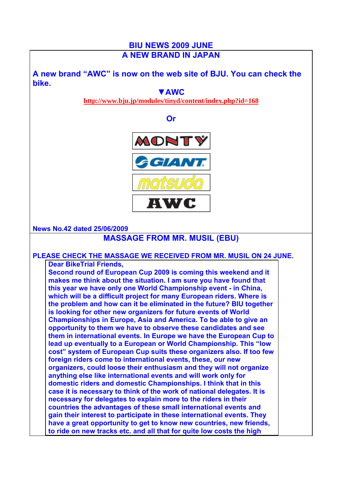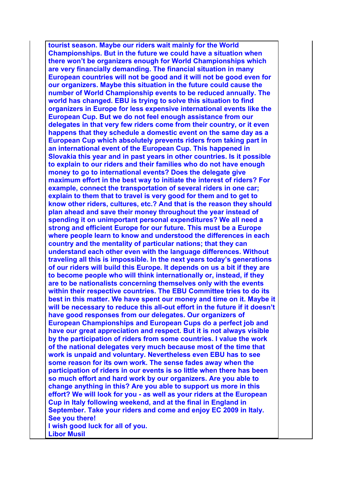**tourist season. Maybe our riders wait mainly for the World Championships. But in the future we could have a situation when there won't be organizers enough for World Championships which are very financially demanding. The financial situation in many European countries will not be good and it will not be good even for our organizers. Maybe this situation in the future could cause the number of World Championship events to be reduced annually. The world has changed. EBU is trying to solve this situation to find organizers in Europe for less expensive international events like the European Cup. But we do not feel enough assistance from our delegates in that very few riders come from their country, or it even happens that they schedule a domestic event on the same day as a European Cup which absolutely prevents riders from taking part in an international event of the European Cup. This happened in Slovakia this year and in past years in other countries. Is it possible to explain to our riders and their families who do not have enough money to go to international events? Does the delegate give maximum effort in the best way to initiate the interest of riders? For example, connect the transportation of several riders in one car; explain to them that to travel is very good for them and to get to know other riders, cultures, etc.? And that is the reason they should plan ahead and save their money throughout the year instead of spending it on unimportant personal expenditures? We all need a strong and efficient Europe for our future. This must be a Europe where people learn to know and understood the differences in each country and the mentality of particular nations; that they can understand each other even with the language differences. Without traveling all this is impossible. In the next years today's generations of our riders will build this Europe. It depends on us a bit if they are to become people who will think internationally or, instead, if they are to be nationalists concerning themselves only with the events within their respective countries. The EBU Committee tries to do its best in this matter. We have spent our money and time on it. Maybe it will be necessary to reduce this all-out effort in the future if it doesn't have good responses from our delegates. Our organizers of European Championships and European Cups do a perfect job and have our great appreciation and respect. But it is not always visible by the participation of riders from some countries. I value the work of the national delegates very much because most of the time that work is unpaid and voluntary. Nevertheless even EBU has to see some reason for its own work. The sense fades away when the participation of riders in our events is so little when there has been so much effort and hard work by our organizers. Are you able to change anything in this? Are you able to support us more in this effort? We will look for you - as well as your riders at the European Cup in Italy following weekend, and at the final in England in September. Take your riders and come and enjoy EC 2009 in Italy. See you there! I wish good luck for all of you. Libor Musil**